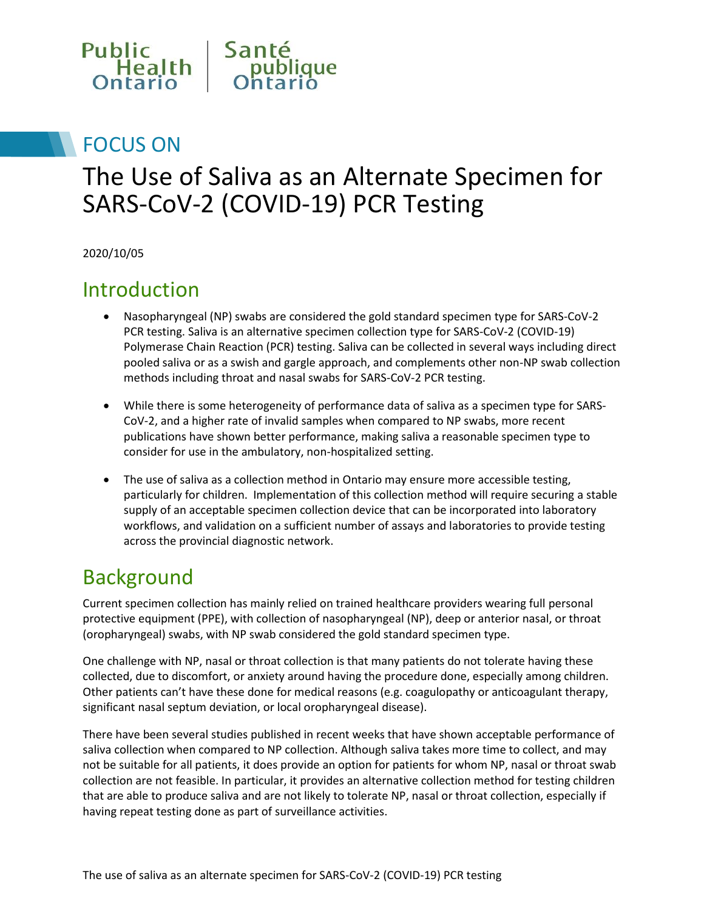

## FOCUS ON

## The Use of Saliva as an Alternate Specimen for SARS-CoV-2 (COVID-19) PCR Testing

2020/10/05

#### Introduction

- Nasopharyngeal (NP) swabs are considered the gold standard specimen type for SARS-CoV-2 PCR testing. Saliva is an alternative specimen collection type for SARS-CoV-2 (COVID-19) Polymerase Chain Reaction (PCR) testing. Saliva can be collected in several ways including direct pooled saliva or as a swish and gargle approach, and complements other non-NP swab collection methods including throat and nasal swabs for SARS-CoV-2 PCR testing.
- While there is some heterogeneity of performance data of saliva as a specimen type for SARS-CoV-2, and a higher rate of invalid samples when compared to NP swabs, more recent publications have shown better performance, making saliva a reasonable specimen type to consider for use in the ambulatory, non-hospitalized setting.
- The use of saliva as a collection method in Ontario may ensure more accessible testing, particularly for children. Implementation of this collection method will require securing a stable supply of an acceptable specimen collection device that can be incorporated into laboratory workflows, and validation on a sufficient number of assays and laboratories to provide testing across the provincial diagnostic network.

#### Background

Current specimen collection has mainly relied on trained healthcare providers wearing full personal protective equipment (PPE), with collection of nasopharyngeal (NP), deep or anterior nasal, or throat (oropharyngeal) swabs, with NP swab considered the gold standard specimen type.

One challenge with NP, nasal or throat collection is that many patients do not tolerate having these collected, due to discomfort, or anxiety around having the procedure done, especially among children. Other patients can't have these done for medical reasons (e.g. coagulopathy or anticoagulant therapy, significant nasal septum deviation, or local oropharyngeal disease).

There have been several studies published in recent weeks that have shown acceptable performance of saliva collection when compared to NP collection. Although saliva takes more time to collect, and may not be suitable for all patients, it does provide an option for patients for whom NP, nasal or throat swab collection are not feasible. In particular, it provides an alternative collection method for testing children that are able to produce saliva and are not likely to tolerate NP, nasal or throat collection, especially if having repeat testing done as part of surveillance activities.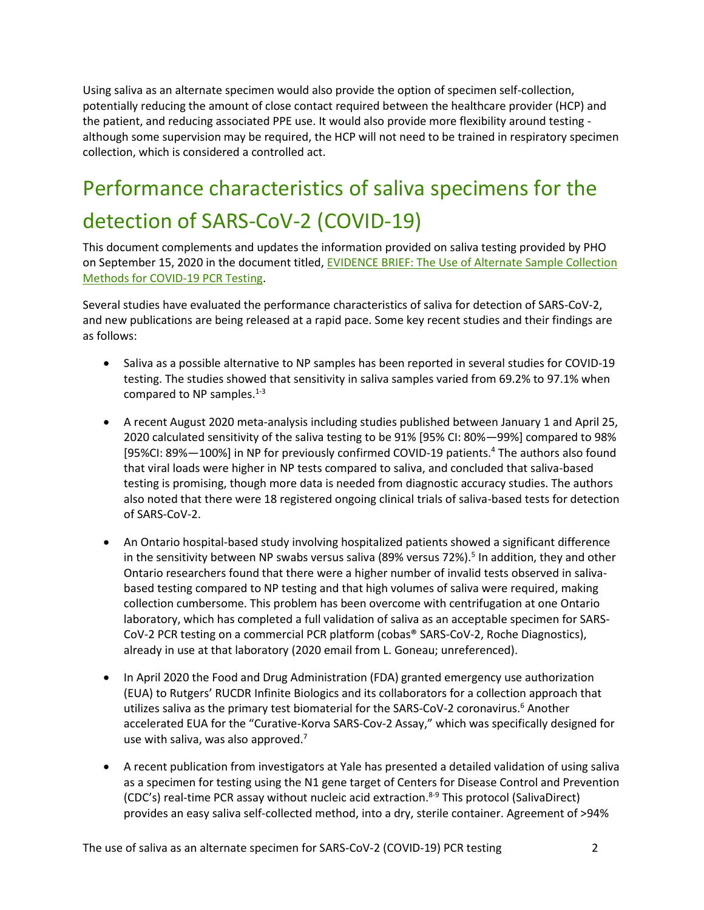Using saliva as an alternate specimen would also provide the option of specimen self-collection, potentially reducing the amount of close contact required between the healthcare provider (HCP) and the patient, and reducing associated PPE use. It would also provide more flexibility around testing although some supervision may be required, the HCP will not need to be trained in respiratory specimen collection, which is considered a controlled act.

# Performance characteristics of saliva specimens for the detection of SARS-CoV-2 (COVID-19)

This document complements and updates the information provided on saliva testing provided by PHO on September 15, 2020 in the document titled[, EVIDENCE BRIEF: The Use of Alternate Sample Collection](https://www.publichealthontario.ca/-/media/documents/ncov/evidence-brief/2020/08/eb-covid-19-pcr-testing-alternative-collection-testing.pdf?la=en)  [Methods for COVID-19 PCR Testing.](https://www.publichealthontario.ca/-/media/documents/ncov/evidence-brief/2020/08/eb-covid-19-pcr-testing-alternative-collection-testing.pdf?la=en)

Several studies have evaluated the performance characteristics of saliva for detection of SARS-CoV-2, and new publications are being released at a rapid pace. Some key recent studies and their findings are as follows:

- Saliva as a possible alternative to NP samples has been reported in several studies for COVID-19 testing. The studies showed that sensitivity in saliva samples varied from 69.2% to 97.1% when compared to NP samples. $1-3$
- A recent August 2020 meta-analysis including studies published between January 1 and April 25, 2020 calculated sensitivity of the saliva testing to be 91% [95% CI: 80%—99%] compared to 98% [95%CI: 89%-100%] in NP for previously confirmed COVID-19 patients.<sup>4</sup> The authors also found that viral loads were higher in NP tests compared to saliva, and concluded that saliva-based testing is promising, though more data is needed from diagnostic accuracy studies. The authors also noted that there were 18 registered ongoing clinical trials of saliva-based tests for detection of SARS-CoV-2.
- An Ontario hospital-based study involving hospitalized patients showed a significant difference in the sensitivity between NP swabs versus saliva (89% versus 72%).<sup>5</sup> In addition, they and other Ontario researchers found that there were a higher number of invalid tests observed in salivabased testing compared to NP testing and that high volumes of saliva were required, making collection cumbersome. This problem has been overcome with centrifugation at one Ontario laboratory, which has completed a full validation of saliva as an acceptable specimen for SARS-CoV-2 PCR testing on a commercial PCR platform (cobas® SARS-CoV-2, Roche Diagnostics), already in use at that laboratory (2020 email from L. Goneau; unreferenced).
- In April 2020 the Food and Drug Administration (FDA) granted emergency use authorization (EUA) to Rutgers' RUCDR Infinite Biologics and its collaborators for a collection approach that utilizes saliva as the primary test biomaterial for the SARS-CoV-2 coronavirus.<sup>6</sup> Another accelerated EUA for the "Curative-Korva SARS-Cov-2 Assay," which was specifically designed for use with saliva, was also approved.<sup>7</sup>
- A recent publication from investigators at Yale has presented a detailed validation of using saliva as a specimen for testing using the N1 gene target of Centers for Disease Control and Prevention (CDC's) real-time PCR assay without nucleic acid extraction.<sup>8-9</sup> This protocol (SalivaDirect) provides an easy saliva self-collected method, into a dry, sterile container. Agreement of >94%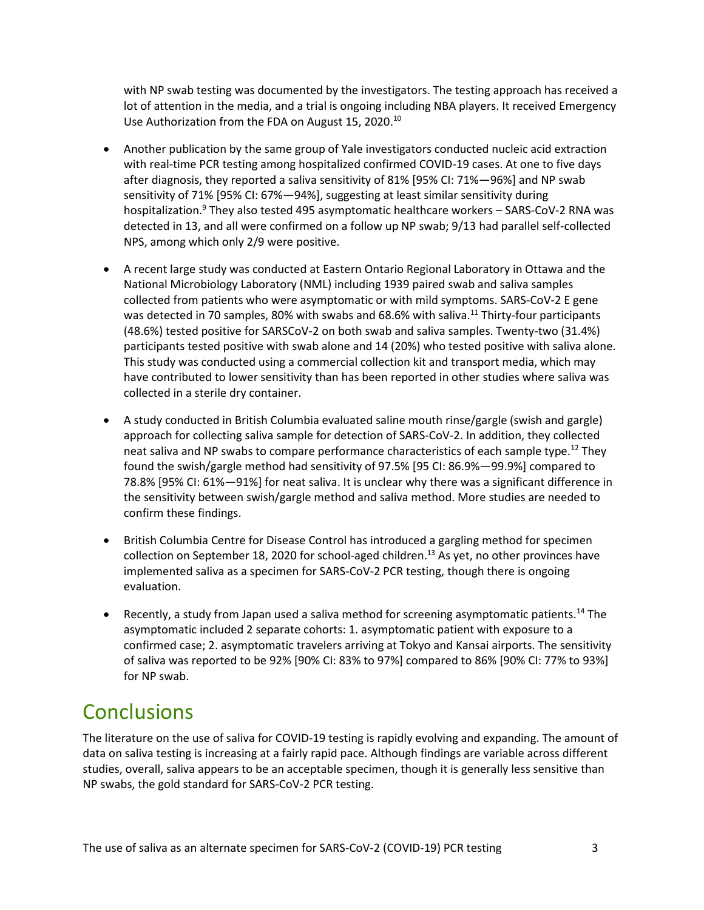with NP swab testing was documented by the investigators. The testing approach has received a lot of attention in the media, and a trial is ongoing including NBA players. It received Emergency Use Authorization from the FDA on August 15, 2020.<sup>10</sup>

- Another publication by the same group of Yale investigators conducted nucleic acid extraction with real-time PCR testing among hospitalized confirmed COVID-19 cases. At one to five days after diagnosis, they reported a saliva sensitivity of 81% [95% CI: 71%—96%] and NP swab sensitivity of 71% [95% CI: 67%—94%], suggesting at least similar sensitivity during hospitalization.<sup>9</sup> They also tested 495 asymptomatic healthcare workers - SARS-CoV-2 RNA was detected in 13, and all were confirmed on a follow up NP swab; 9/13 had parallel self-collected NPS, among which only 2/9 were positive.
- A recent large study was conducted at Eastern Ontario Regional Laboratory in Ottawa and the National Microbiology Laboratory (NML) including 1939 paired swab and saliva samples collected from patients who were asymptomatic or with mild symptoms. SARS-CoV-2 E gene was detected in 70 samples, 80% with swabs and 68.6% with saliva.<sup>11</sup> Thirty-four participants (48.6%) tested positive for SARSCoV-2 on both swab and saliva samples. Twenty-two (31.4%) participants tested positive with swab alone and 14 (20%) who tested positive with saliva alone. This study was conducted using a commercial collection kit and transport media, which may have contributed to lower sensitivity than has been reported in other studies where saliva was collected in a sterile dry container.
- A study conducted in British Columbia evaluated saline mouth rinse/gargle (swish and gargle) approach for collecting saliva sample for detection of SARS-CoV-2. In addition, they collected neat saliva and NP swabs to compare performance characteristics of each sample type.<sup>12</sup> They found the swish/gargle method had sensitivity of 97.5% [95 CI: 86.9%—99.9%] compared to 78.8% [95% CI: 61%—91%] for neat saliva. It is unclear why there was a significant difference in the sensitivity between swish/gargle method and saliva method. More studies are needed to confirm these findings.
- British Columbia Centre for Disease Control has introduced a gargling method for specimen collection on September 18, 2020 for school-aged children.<sup>13</sup> As yet, no other provinces have implemented saliva as a specimen for SARS-CoV-2 PCR testing, though there is ongoing evaluation.
- **•** Recently, a study from Japan used a saliva method for screening asymptomatic patients.<sup>14</sup> The asymptomatic included 2 separate cohorts: 1. asymptomatic patient with exposure to a confirmed case; 2. asymptomatic travelers arriving at Tokyo and Kansai airports. The sensitivity of saliva was reported to be 92% [90% CI: 83% to 97%] compared to 86% [90% CI: 77% to 93%] for NP swab.

#### **Conclusions**

The literature on the use of saliva for COVID-19 testing is rapidly evolving and expanding. The amount of data on saliva testing is increasing at a fairly rapid pace. Although findings are variable across different studies, overall, saliva appears to be an acceptable specimen, though it is generally less sensitive than NP swabs, the gold standard for SARS-CoV-2 PCR testing.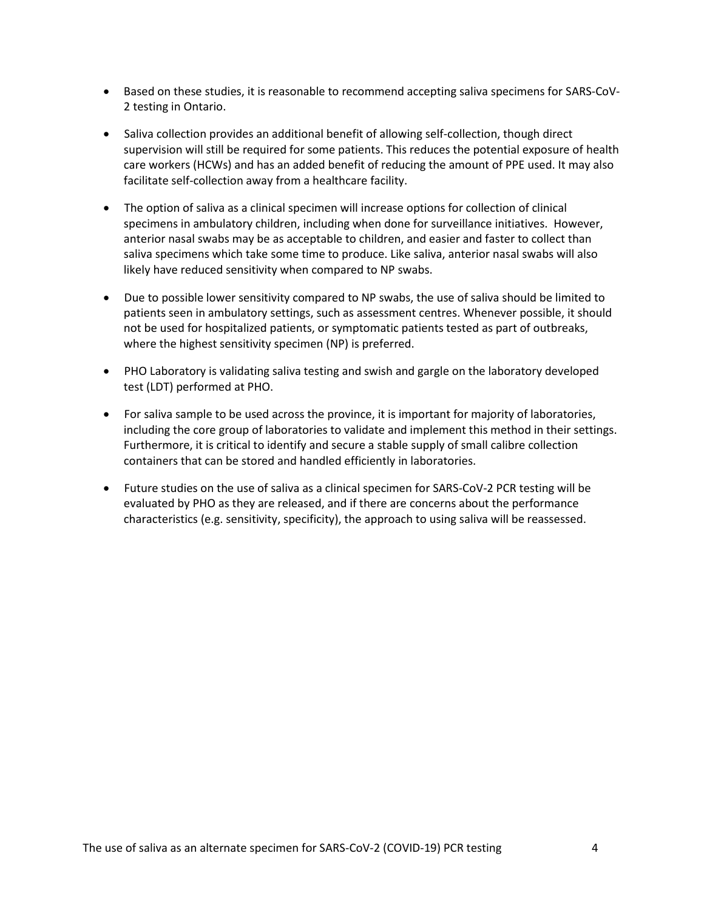- Based on these studies, it is reasonable to recommend accepting saliva specimens for SARS-CoV-2 testing in Ontario.
- Saliva collection provides an additional benefit of allowing self-collection, though direct supervision will still be required for some patients. This reduces the potential exposure of health care workers (HCWs) and has an added benefit of reducing the amount of PPE used. It may also facilitate self-collection away from a healthcare facility.
- The option of saliva as a clinical specimen will increase options for collection of clinical specimens in ambulatory children, including when done for surveillance initiatives. However, anterior nasal swabs may be as acceptable to children, and easier and faster to collect than saliva specimens which take some time to produce. Like saliva, anterior nasal swabs will also likely have reduced sensitivity when compared to NP swabs.
- Due to possible lower sensitivity compared to NP swabs, the use of saliva should be limited to patients seen in ambulatory settings, such as assessment centres. Whenever possible, it should not be used for hospitalized patients, or symptomatic patients tested as part of outbreaks, where the highest sensitivity specimen (NP) is preferred.
- PHO Laboratory is validating saliva testing and swish and gargle on the laboratory developed test (LDT) performed at PHO.
- For saliva sample to be used across the province, it is important for majority of laboratories, including the core group of laboratories to validate and implement this method in their settings. Furthermore, it is critical to identify and secure a stable supply of small calibre collection containers that can be stored and handled efficiently in laboratories.
- Future studies on the use of saliva as a clinical specimen for SARS-CoV-2 PCR testing will be evaluated by PHO as they are released, and if there are concerns about the performance characteristics (e.g. sensitivity, specificity), the approach to using saliva will be reassessed.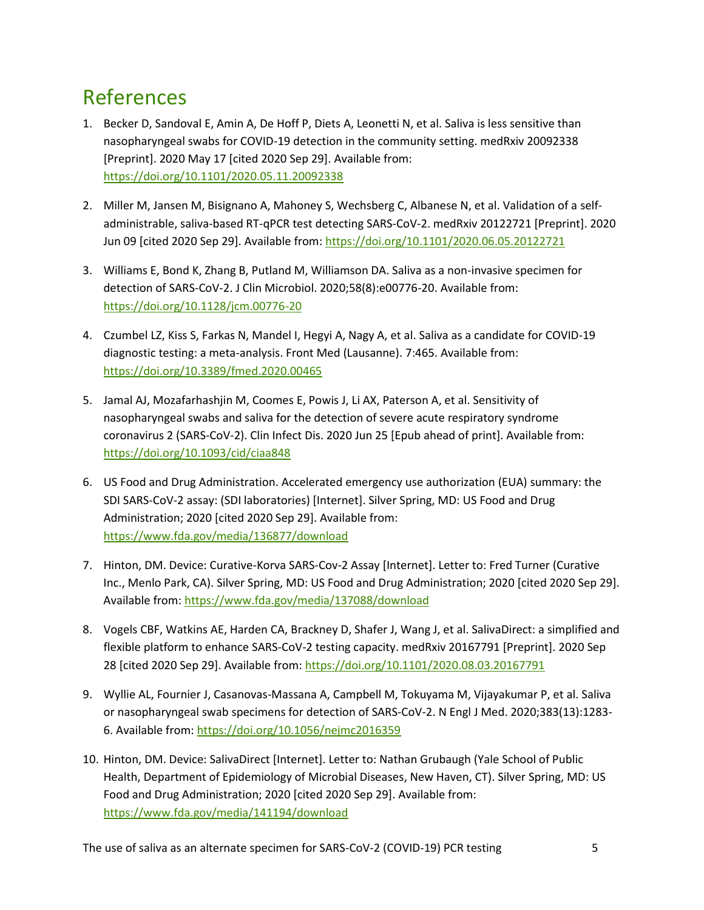## References

- 1. Becker D, Sandoval E, Amin A, De Hoff P, Diets A, Leonetti N, et al. Saliva is less sensitive than nasopharyngeal swabs for COVID-19 detection in the community setting. medRxiv 20092338 [Preprint]. 2020 May 17 [cited 2020 Sep 29]. Available from: <https://doi.org/10.1101/2020.05.11.20092338>
- 2. Miller M, Jansen M, Bisignano A, Mahoney S, Wechsberg C, Albanese N, et al. Validation of a selfadministrable, saliva-based RT-qPCR test detecting SARS-CoV-2. medRxiv 20122721 [Preprint]. 2020 Jun 09 [cited 2020 Sep 29]. Available from:<https://doi.org/10.1101/2020.06.05.20122721>
- 3. Williams E, Bond K, Zhang B, Putland M, Williamson DA. Saliva as a non-invasive specimen for detection of SARS-CoV-2. J Clin Microbiol. 2020;58(8):e00776-20. Available from: <https://doi.org/10.1128/jcm.00776-20>
- 4. Czumbel LZ, Kiss S, Farkas N, Mandel I, Hegyi A, Nagy A, et al. Saliva as a candidate for COVID-19 diagnostic testing: a meta-analysis. Front Med (Lausanne). 7:465. Available from: <https://doi.org/10.3389/fmed.2020.00465>
- 5. Jamal AJ, Mozafarhashjin M, Coomes E, Powis J, Li AX, Paterson A, et al. Sensitivity of nasopharyngeal swabs and saliva for the detection of severe acute respiratory syndrome coronavirus 2 (SARS-CoV-2). Clin Infect Dis. 2020 Jun 25 [Epub ahead of print]. Available from: <https://doi.org/10.1093/cid/ciaa848>
- 6. US Food and Drug Administration. Accelerated emergency use authorization (EUA) summary: the SDI SARS-CoV-2 assay: (SDI laboratories) [Internet]. Silver Spring, MD: US Food and Drug Administration; 2020 [cited 2020 Sep 29]. Available from: <https://www.fda.gov/media/136877/download>
- 7. Hinton, DM. Device: Curative-Korva SARS-Cov-2 Assay [Internet]. Letter to: Fred Turner (Curative Inc., Menlo Park, CA). Silver Spring, MD: US Food and Drug Administration; 2020 [cited 2020 Sep 29]. Available from[: https://www.fda.gov/media/137088/download](https://www.fda.gov/media/137088/download)
- 8. Vogels CBF, Watkins AE, Harden CA, Brackney D, Shafer J, Wang J, et al. SalivaDirect: a simplified and flexible platform to enhance SARS-CoV-2 testing capacity. medRxiv 20167791 [Preprint]. 2020 Sep 28 [cited 2020 Sep 29]. Available from:<https://doi.org/10.1101/2020.08.03.20167791>
- 9. Wyllie AL, Fournier J, Casanovas-Massana A, Campbell M, Tokuyama M, Vijayakumar P, et al. Saliva or nasopharyngeal swab specimens for detection of SARS-CoV-2. N Engl J Med. 2020;383(13):1283- 6. Available from:<https://doi.org/10.1056/nejmc2016359>
- 10. Hinton, DM. Device: SalivaDirect [Internet]. Letter to: Nathan Grubaugh (Yale School of Public Health, Department of Epidemiology of Microbial Diseases, New Haven, CT). Silver Spring, MD: US Food and Drug Administration; 2020 [cited 2020 Sep 29]. Available from: <https://www.fda.gov/media/141194/download>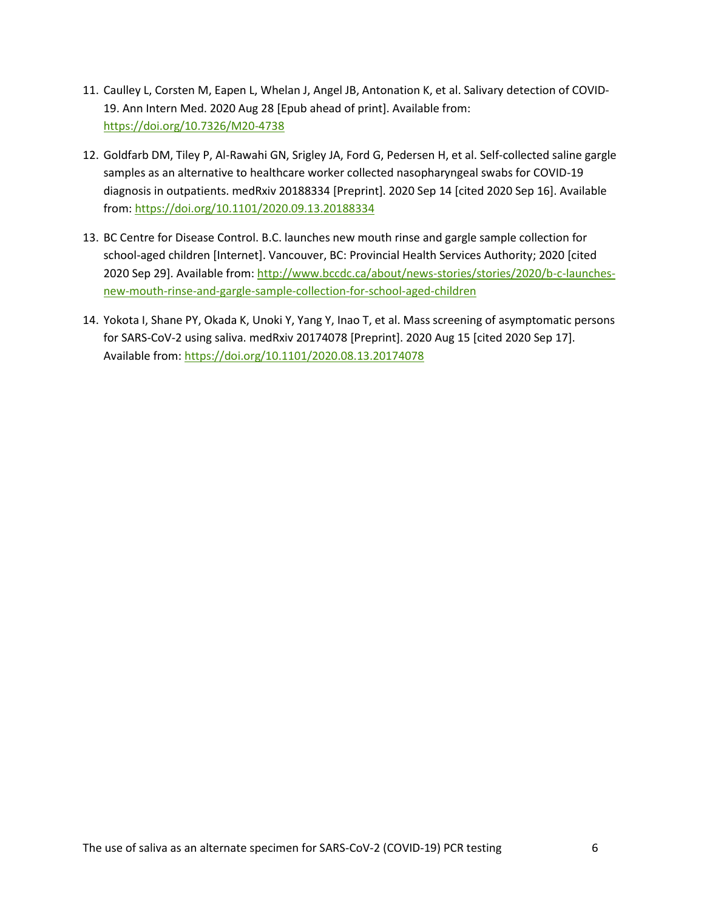- 11. Caulley L, Corsten M, Eapen L, Whelan J, Angel JB, Antonation K, et al. Salivary detection of COVID-19. Ann Intern Med. 2020 Aug 28 [Epub ahead of print]. Available from: <https://doi.org/10.7326/M20-4738>
- 12. Goldfarb DM, Tiley P, Al-Rawahi GN, Srigley JA, Ford G, Pedersen H, et al. Self-collected saline gargle samples as an alternative to healthcare worker collected nasopharyngeal swabs for COVID-19 diagnosis in outpatients. medRxiv 20188334 [Preprint]. 2020 Sep 14 [cited 2020 Sep 16]. Available from: <https://doi.org/10.1101/2020.09.13.20188334>
- 13. BC Centre for Disease Control. B.C. launches new mouth rinse and gargle sample collection for school-aged children [Internet]. Vancouver, BC: Provincial Health Services Authority; 2020 [cited 2020 Sep 29]. Available from: [http://www.bccdc.ca/about/news-stories/stories/2020/b-c-launches](http://www.bccdc.ca/about/news-stories/stories/2020/b-c-launches-new-mouth-rinse-and-gargle-sample-collection-for-school-aged-children)[new-mouth-rinse-and-gargle-sample-collection-for-school-aged-children](http://www.bccdc.ca/about/news-stories/stories/2020/b-c-launches-new-mouth-rinse-and-gargle-sample-collection-for-school-aged-children)
- 14. Yokota I, Shane PY, Okada K, Unoki Y, Yang Y, Inao T, et al. Mass screening of asymptomatic persons for SARS-CoV-2 using saliva. medRxiv 20174078 [Preprint]. 2020 Aug 15 [cited 2020 Sep 17]. Available from: <https://doi.org/10.1101/2020.08.13.20174078>